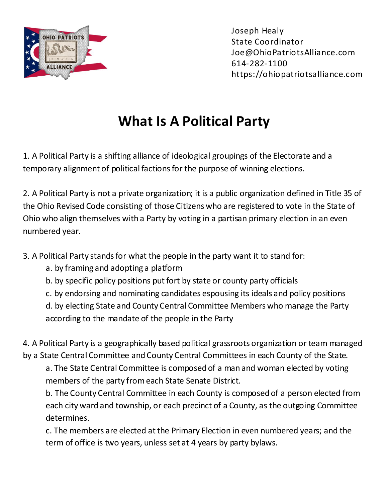

## **What Is A Political Party**

1. A Political Party is a shifting alliance of ideological groupings of the Electorate and a temporary alignment of political factions for the purpose of winning elections.

2. A Political Party is not a private organization; it is a public organization defined in Title 35 of the Ohio Revised Code consisting of those Citizens who are registered to vote in the State of Ohio who align themselves with a Party by voting in a partisan primary election in an even numbered year.

3. A Political Party stands for what the people in the party want it to stand for:

- a. by framing and adopting a platform
- b. by specific policy positions put fort by state or county party officials
- c. by endorsing and nominating candidates espousing its ideals and policy positions

d. by electing State and County Central Committee Members who manage the Party according to the mandate of the people in the Party

4. A Political Party is a geographically based political grassroots organization or team managed by a State Central Committee and County Central Committees in each County of the State.

a. The State Central Committee is composed of a man and woman elected by voting members of the party from each State Senate District.

b. The County Central Committee in each County is composed of a person elected from each city ward and township, or each precinct of a County, as the outgoing Committee determines.

c. The members are elected at the Primary Election in even numbered years; and the term of office is two years, unless set at 4 years by party bylaws.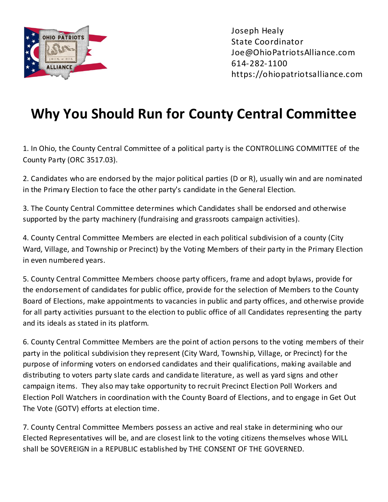

## **Why You Should Run for County Central Committee**

1. In Ohio, the County Central Committee of a political party is the CONTROLLING COMMITTEE of the County Party (ORC 3517.03).

2. Candidates who are endorsed by the major political parties (D or R), usually win and are nominated in the Primary Election to face the other party's candidate in the General Election.

3. The County Central Committee determines which Candidates shall be endorsed and otherwise supported by the party machinery (fundraising and grassroots campaign activities).

4. County Central Committee Members are elected in each political subdivision of a county (City Ward, Village, and Township or Precinct) by the Voting Members of their party in the Primary Election in even numbered years.

5. County Central Committee Members choose party officers, frame and adopt bylaws, provide for the endorsement of candidates for public office, provide for the selection of Members to the County Board of Elections, make appointments to vacancies in public and party offices, and otherwise provide for all party activities pursuant to the election to public office of all Candidates representing the party and its ideals as stated in its platform.

6. County Central Committee Members are the point of action persons to the voting members of their party in the political subdivision they represent (City Ward, Township, Village, or Precinct) for the purpose of informing voters on endorsed candidates and their qualifications, making available and distributing to voters party slate cards and candidate literature, as well as yard signs and other campaign items. They also may take opportunity to recruit Precinct Election Poll Workers and Election Poll Watchers in coordination with the County Board of Elections, and to engage in Get Out The Vote (GOTV) efforts at election time.

7. County Central Committee Members possess an active and real stake in determining who our Elected Representatives will be, and are closest link to the voting citizens themselves whose WILL shall be SOVEREIGN in a REPUBLIC established by THE CONSENT OF THE GOVERNED.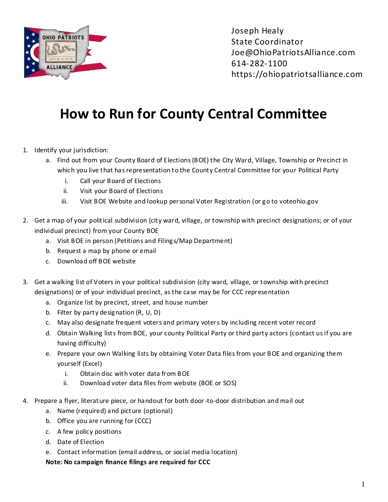

## **How to Run for County Central Committee**

- 1. Identify your jurisdiction:
	- a. Find out from your County Board of Elections (BOE) the City Ward, Village, Township or Precinct in which you live that has representation to the County Central Committee for your Political Party
		- i. Call your Board of Elections
		- ii. Visit your Board of Elections
		- iii. Visit BOE Website and lookup personal Voter Registration (or go to voteohio.gov
- 2. Get a map of your political subdivision (city ward, village, or township with precinct designations; or of your individual precinct) from your County BOE
	- a. Visit BOE in person (Petitions and Filings/Map Department)
	- b. Request a map by phone or email
	- c. Download off BOE website
- 3. Get a walking list of Voters in your political subdivision (city ward, village, or township with precinct designations) or of your individual precinct, as the case may be for CCC representation
	- a. Organize list by precinct, street, and house number
	- b. Filter by party designation (R, U, D)
	- c. May also designate frequent voters and primary voters by including recent voter record
	- d. Obtain Walking lists from BOE, your county Political Party or third party actors (contact us if you are having difficulty)
	- e. Prepare your own Walking lists by obtaining Voter Data files from your BOE and organizing them yourself (Excel)
		- i. Obtain disc with voter data from BOE
		- ii. Download voter data files from website (BOE or SOS)
- 4. Prepare a flyer, literature piece, or handout for both door-to-door distribution and mail out
	- a. Name (required) and picture (optional)
	- b. Office you are running for (CCC)
	- c. A few policy positions
	- d. Date of Election
	- e. Contact information (email address, or social media location)

**Note: No campaign finance filings are required for CCC**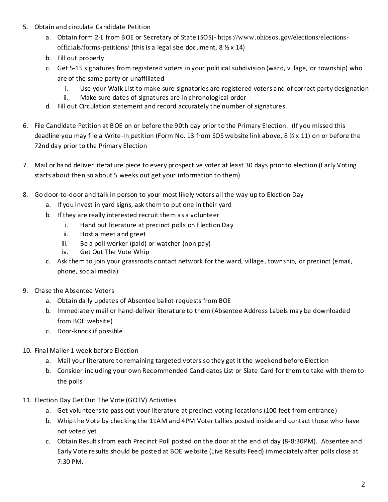- 5. Obtain and circulate Candidate Petition
	- a. Obtain form 2-L from BOE or Secretary of State (SOS)-[https://www.ohiosos.gov/elections/elections](https://www.ohiosos.gov/elections/elections-officials/forms-petitions/)[officials/forms-petitions/](https://www.ohiosos.gov/elections/elections-officials/forms-petitions/) (this is a legal size document, 8 ½ x 14)
	- b. Fill out properly
	- c. Get 5-15 signatures from registered voters in your political subdivision (ward, village, or township) who are of the same party or unaffiliated
		- i. Use your Walk List to make sure signatories are registered voters and of correct party designation
		- ii. Make sure dates of signatures are in chronological order
	- d. Fill out Circulation statement and record accurately the number of signatures.
- 6. File Candidate Petition at BOE on or before the 90th day prior to the Primary Election. (If you missed this deadline you may file a Write-In petition (Form No. 13 from SOS website link above, 8 ½ x 11) on or before the 72nd day prior to the Primary Election
- 7. Mail or hand deliver literature piece to every prospective voter at least 30 days prior to election (Early Voting starts about then so about 5 weeks out get your information to them)
- 8. Go door-to-door and talk in person to your most likely voters all the way up to Election Day
	- a. If you invest in yard signs, ask them to put one in their yard
	- b. If they are really interested recruit them as a volunteer
		- i. Hand out literature at precinct polls on Election Day
		- ii. Host a meet and greet
		- iii. Be a poll worker (paid) or watcher (non pay)
		- iv. Get Out The Vote Whip
	- c. Ask them to join your grassroots contact network for the ward, village, township, or precinct (email, phone, social media)
- 9. Chase the Absentee Voters
	- a. Obtain daily updates of Absentee ballot requests from BOE
	- b. Immediately mail or hand-deliver literature to them (Absentee Address Labels may be downloaded from BOE website)
	- c. Door-knock if possible
- 10. Final Mailer 1 week before Election
	- a. Mail your literature to remaining targeted voters so they get it the weekend before Election
	- b. Consider including your own Recommended Candidates List or Slate Card for them to take with them to the polls
- 11. Election Day Get Out The Vote (GOTV) Activities
	- a. Get volunteers to pass out your literature at precinct voting locations (100 feet from entrance)
	- b. Whip the Vote by checking the 11AM and 4PM Voter tallies posted inside and contact those who have not voted yet
	- c. Obtain Results from each Precinct Poll posted on the door at the end of day (8-8:30PM). Absentee and Early Vote results should be posted at BOE website (Live Results Feed) immediately after polls close at 7:30 PM.